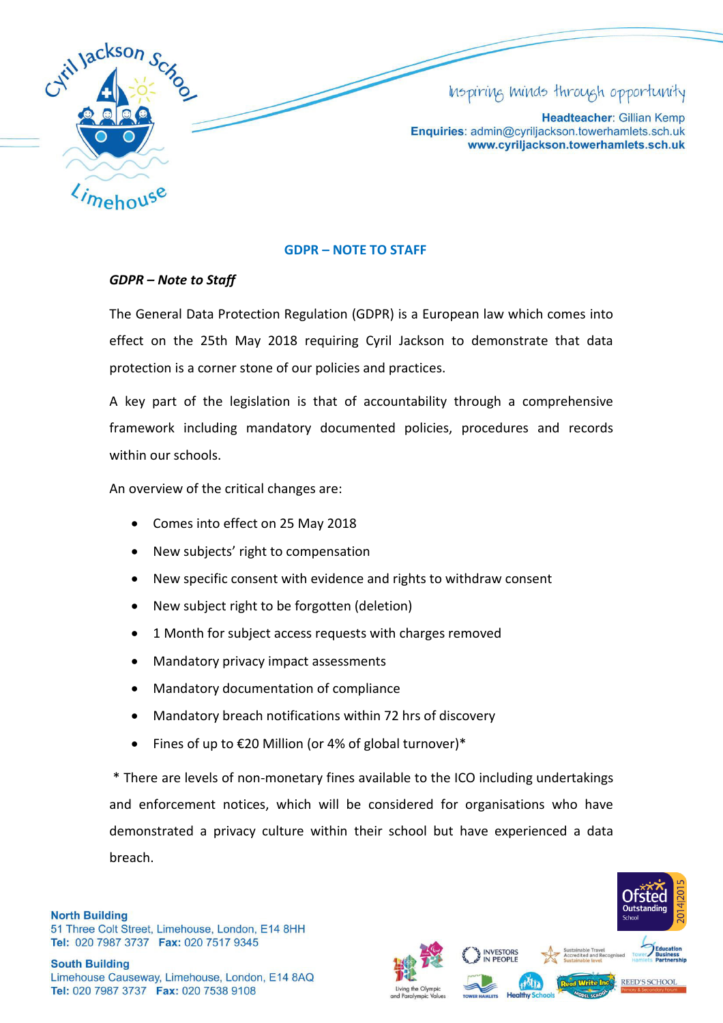

# Inspiring minds through opportunity

Headteacher: Gillian Kemp Enquiries: admin@cyriljackson.towerhamlets.sch.uk www.cyriljackson.towerhamlets.sch.uk

## **GDPR – NOTE TO STAFF**

## *GDPR – Note to Staff*

The General Data Protection Regulation (GDPR) is a European law which comes into effect on the 25th May 2018 requiring Cyril Jackson to demonstrate that data protection is a corner stone of our policies and practices.

A key part of the legislation is that of accountability through a comprehensive framework including mandatory documented policies, procedures and records within our schools.

An overview of the critical changes are:

- Comes into effect on 25 May 2018
- New subjects' right to compensation
- New specific consent with evidence and rights to withdraw consent
- New subject right to be forgotten (deletion)
- 1 Month for subject access requests with charges removed
- Mandatory privacy impact assessments
- Mandatory documentation of compliance
- Mandatory breach notifications within 72 hrs of discovery
- Fines of up to  $E20$  Million (or 4% of global turnover)\*

 \* There are levels of non-monetary fines available to the ICO including undertakings and enforcement notices, which will be considered for organisations who have demonstrated a privacy culture within their school but have experienced a data breach.

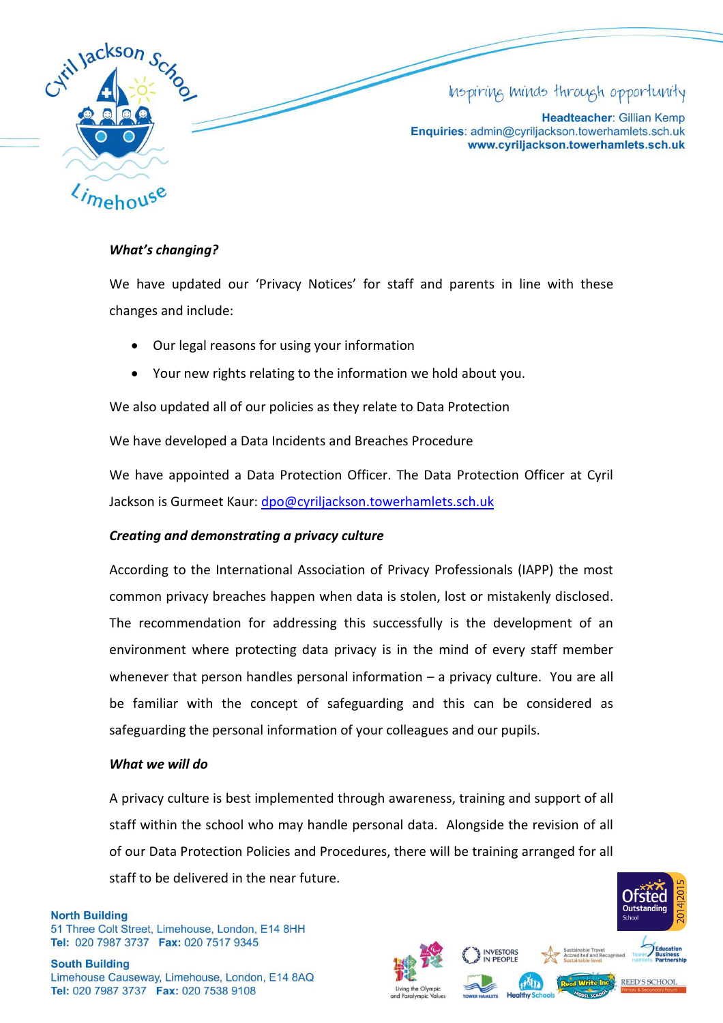

## *What's changing?*

We have updated our 'Privacy Notices' for staff and parents in line with these changes and include:

- Our legal reasons for using your information
- Your new rights relating to the information we hold about you.

We also updated all of our policies as they relate to Data Protection

We have developed a Data Incidents and Breaches Procedure

We have appointed a Data Protection Officer. The Data Protection Officer at Cyril Jackson is Gurmeet Kaur: dpo@cyriljackson.towerhamlets.sch.uk

#### *Creating and demonstrating a privacy culture*

According to the International Association of Privacy Professionals (IAPP) the most common privacy breaches happen when data is stolen, lost or mistakenly disclosed. The recommendation for addressing this successfully is the development of an environment where protecting data privacy is in the mind of every staff member whenever that person handles personal information – a privacy culture. You are all be familiar with the concept of safeguarding and this can be considered as safeguarding the personal information of your colleagues and our pupils.

#### *What we will do*

A privacy culture is best implemented through awareness, training and support of all staff within the school who may handle personal data. Alongside the revision of all of our Data Protection Policies and Procedures, there will be training arranged for all staff to be delivered in the near future.

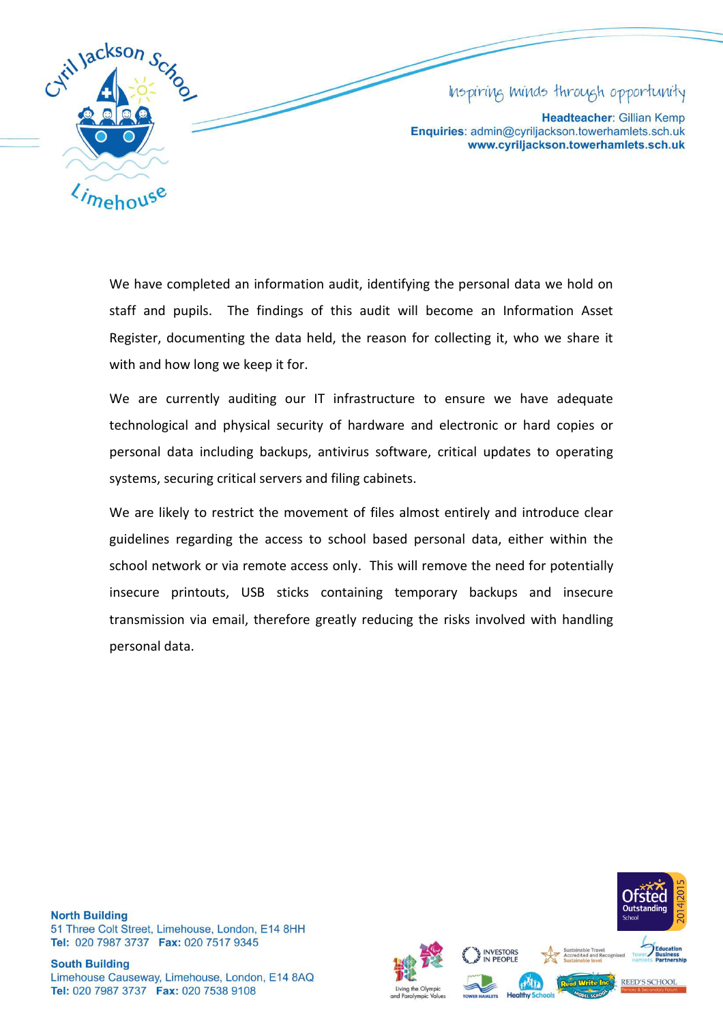

## Inspiring minds through opportunity

Headteacher: Gillian Kemp Enquiries: admin@cyriljackson.towerhamlets.sch.uk www.cyriljackson.towerhamlets.sch.uk

We have completed an information audit, identifying the personal data we hold on staff and pupils. The findings of this audit will become an Information Asset Register, documenting the data held, the reason for collecting it, who we share it with and how long we keep it for.

We are currently auditing our IT infrastructure to ensure we have adequate technological and physical security of hardware and electronic or hard copies or personal data including backups, antivirus software, critical updates to operating systems, securing critical servers and filing cabinets.

We are likely to restrict the movement of files almost entirely and introduce clear guidelines regarding the access to school based personal data, either within the school network or via remote access only. This will remove the need for potentially insecure printouts, USB sticks containing temporary backups and insecure transmission via email, therefore greatly reducing the risks involved with handling personal data.

**North Building** 51 Three Colt Street, Limehouse, London, E14 8HH Tel: 020 7987 3737 Fax: 020 7517 9345

**South Building** Limehouse Causeway, Limehouse, London, E14 8AQ Tel: 020 7987 3737 Fax: 020 7538 9108